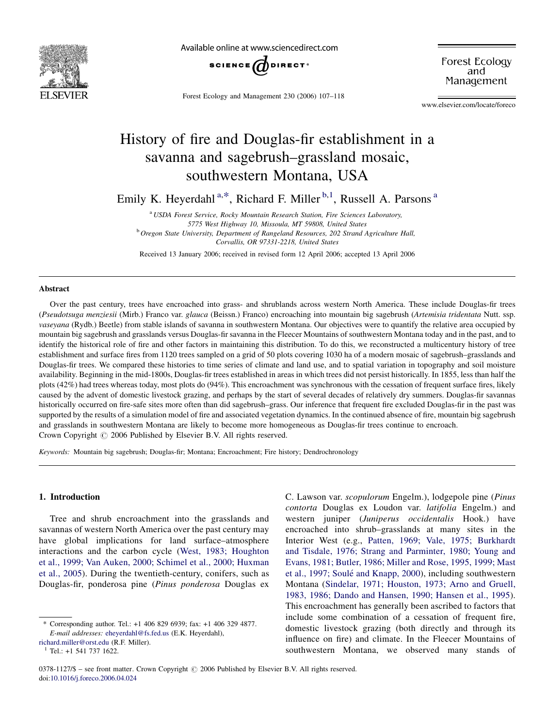

Available online at www.sciencedirect.com



Forest Ecology and Management 230 (2006) 107–118

Forest Ecology and Management

www.elsevier.com/locate/foreco

# History of fire and Douglas-fir establishment in a savanna and sagebrush–grassland mosaic, southwestern Montana, USA

Emily K. Heyerdahl<sup>a,\*</sup>, Richard F. Miller<sup>b,1</sup>, Russell A. Parsons<sup>a</sup>

<sup>a</sup> USDA Forest Service, Rocky Mountain Research Station, Fire Sciences Laboratory, 5775 West Highway 10, Missoula, MT 59808, United States  $b$  Oregon State University, Department of Rangeland Resources, 202 Strand Agriculture Hall, Corvallis, OR 97331-2218, United States

Received 13 January 2006; received in revised form 12 April 2006; accepted 13 April 2006

#### Abstract

Over the past century, trees have encroached into grass- and shrublands across western North America. These include Douglas-fir trees (Pseudotsuga menziesii (Mirb.) Franco var. glauca (Beissn.) Franco) encroaching into mountain big sagebrush (Artemisia tridentata Nutt. ssp. vaseyana (Rydb.) Beetle) from stable islands of savanna in southwestern Montana. Our objectives were to quantify the relative area occupied by mountain big sagebrush and grasslands versus Douglas-fir savanna in the Fleecer Mountains of southwestern Montana today and in the past, and to identify the historical role of fire and other factors in maintaining this distribution. To do this, we reconstructed a multicentury history of tree establishment and surface fires from 1120 trees sampled on a grid of 50 plots covering 1030 ha of a modern mosaic of sagebrush–grasslands and Douglas-fir trees. We compared these histories to time series of climate and land use, and to spatial variation in topography and soil moisture availability. Beginning in the mid-1800s, Douglas-fir trees established in areas in which trees did not persist historically. In 1855, less than half the plots (42%) had trees whereas today, most plots do (94%). This encroachment was synchronous with the cessation of frequent surface fires, likely caused by the advent of domestic livestock grazing, and perhaps by the start of several decades of relatively dry summers. Douglas-fir savannas historically occurred on fire-safe sites more often than did sagebrush–grass. Our inference that frequent fire excluded Douglas-fir in the past was supported by the results of a simulation model of fire and associated vegetation dynamics. In the continued absence of fire, mountain big sagebrush and grasslands in southwestern Montana are likely to become more homogeneous as Douglas-fir trees continue to encroach. Crown Copyright © 2006 Published by Elsevier B.V. All rights reserved.

Keywords: Mountain big sagebrush; Douglas-fir; Montana; Encroachment; Fire history; Dendrochronology

## 1. Introduction

Tree and shrub encroachment into the grasslands and savannas of western North America over the past century may have global implications for land surface–atmosphere interactions and the carbon cycle [\(West, 1983; Houghton](#page-11-0) [et al., 1999; Van Auken, 2000; Schimel et al., 2000; Huxman](#page-11-0) [et al., 2005\)](#page-11-0). During the twentieth-century, conifers, such as Douglas-fir, ponderosa pine (Pinus ponderosa Douglas ex

[richard.miller@orst.edu](mailto:richard.miller@orst.edu) (R.F. Miller).

C. Lawson var. scopulorum Engelm.), lodgepole pine (Pinus contorta Douglas ex Loudon var. latifolia Engelm.) and western juniper (Juniperus occidentalis Hook.) have encroached into shrub–grasslands at many sites in the Interior West (e.g., [Patten, 1969; Vale, 1975; Burkhardt](#page-10-0) [and Tisdale, 1976; Strang and Parminter, 1980; Young and](#page-10-0) [Evans, 1981; Butler, 1986; Miller and Rose, 1995, 1999; Mast](#page-10-0) et al., 1997; Soulé and Knapp, 2000), including southwestern Montana ([Sindelar, 1971; Houston, 1973; Arno and Gruell,](#page-10-0) [1983, 1986; Dando and Hansen, 1990; Hansen et al., 1995\)](#page-10-0). This encroachment has generally been ascribed to factors that include some combination of a cessation of frequent fire, domestic livestock grazing (both directly and through its influence on fire) and climate. In the Fleecer Mountains of southwestern Montana, we observed many stands of

<sup>\*</sup> Corresponding author. Tel.: +1 406 829 6939; fax: +1 406 329 4877. E-mail addresses: [eheyerdahl@fs.fed.us](mailto:eheyerdahl@fs.fed.us) (E.K. Heyerdahl),

 $1$  Tel.: +1 541 737 1622.

<sup>0378-1127/\$ –</sup> see front matter. Crown Copyright  $\odot$  2006 Published by Elsevier B.V. All rights reserved. doi:[10.1016/j.foreco.2006.04.024](http://dx.doi.org/10.1016/j.foreco.2006.04.024)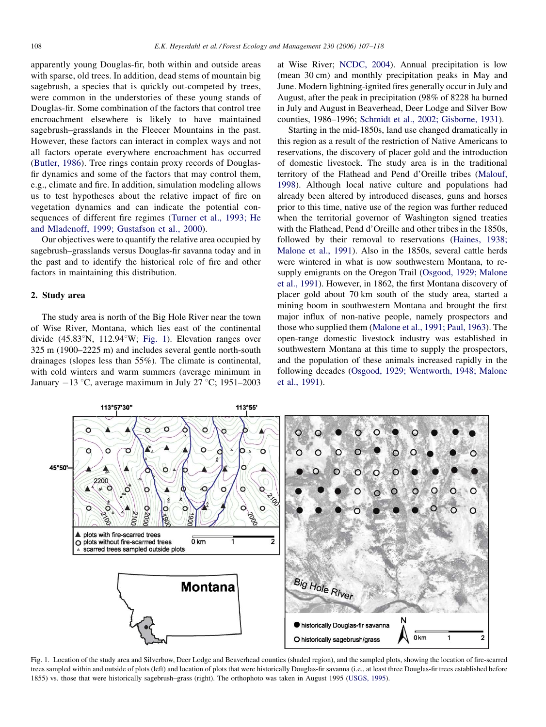<span id="page-1-0"></span>apparently young Douglas-fir, both within and outside areas with sparse, old trees. In addition, dead stems of mountain big sagebrush, a species that is quickly out-competed by trees, were common in the understories of these young stands of Douglas-fir. Some combination of the factors that control tree encroachment elsewhere is likely to have maintained sagebrush–grasslands in the Fleecer Mountains in the past. However, these factors can interact in complex ways and not all factors operate everywhere encroachment has occurred ([Butler, 1986](#page-9-0)). Tree rings contain proxy records of Douglasfir dynamics and some of the factors that may control them, e.g., climate and fire. In addition, simulation modeling allows us to test hypotheses about the relative impact of fire on vegetation dynamics and can indicate the potential consequences of different fire regimes ([Turner et al., 1993; He](#page-10-0) [and Mladenoff, 1999; Gustafson et al., 2000\)](#page-10-0).

Our objectives were to quantify the relative area occupied by sagebrush–grasslands versus Douglas-fir savanna today and in the past and to identify the historical role of fire and other factors in maintaining this distribution.

#### 2. Study area

The study area is north of the Big Hole River near the town of Wise River, Montana, which lies east of the continental divide  $(45.83^{\circ}N, 112.94^{\circ}W;$  Fig. 1). Elevation ranges over 325 m (1900–2225 m) and includes several gentle north-south drainages (slopes less than 55%). The climate is continental, with cold winters and warm summers (average minimum in January  $-13$  °C, average maximum in July 27 °C; 1951–2003 at Wise River; [NCDC, 2004\)](#page-10-0). Annual precipitation is low (mean 30 cm) and monthly precipitation peaks in May and June. Modern lightning-ignited fires generally occur in July and August, after the peak in precipitation (98% of 8228 ha burned in July and August in Beaverhead, Deer Lodge and Silver Bow counties, 1986–1996; [Schmidt et al., 2002; Gisborne, 1931](#page-10-0)).

Starting in the mid-1850s, land use changed dramatically in this region as a result of the restriction of Native Americans to reservations, the discovery of placer gold and the introduction of domestic livestock. The study area is in the traditional territory of the Flathead and Pend d'Oreille tribes ([Malouf,](#page-10-0) [1998\)](#page-10-0). Although local native culture and populations had already been altered by introduced diseases, guns and horses prior to this time, native use of the region was further reduced when the territorial governor of Washington signed treaties with the Flathead, Pend d'Oreille and other tribes in the 1850s, followed by their removal to reservations ([Haines, 1938;](#page-9-0) [Malone et al., 1991](#page-9-0)). Also in the 1850s, several cattle herds were wintered in what is now southwestern Montana, to resupply emigrants on the Oregon Trail [\(Osgood, 1929; Malone](#page-10-0) [et al., 1991\)](#page-10-0). However, in 1862, the first Montana discovery of placer gold about 70 km south of the study area, started a mining boom in southwestern Montana and brought the first major influx of non-native people, namely prospectors and those who supplied them ([Malone et al., 1991; Paul, 1963](#page-10-0)). The open-range domestic livestock industry was established in southwestern Montana at this time to supply the prospectors, and the population of these animals increased rapidly in the following decades [\(Osgood, 1929; Wentworth, 1948; Malone](#page-10-0) [et al., 1991\)](#page-10-0).



Fig. 1. Location of the study area and Silverbow, Deer Lodge and Beaverhead counties (shaded region), and the sampled plots, showing the location of fire-scarred trees sampled within and outside of plots (left) and location of plots that were historically Douglas-fir savanna (i.e., at least three Douglas-fir trees established before 1855) vs. those that were historically sagebrush–grass (right). The orthophoto was taken in August 1995 [\(USGS, 1995](#page-10-0)).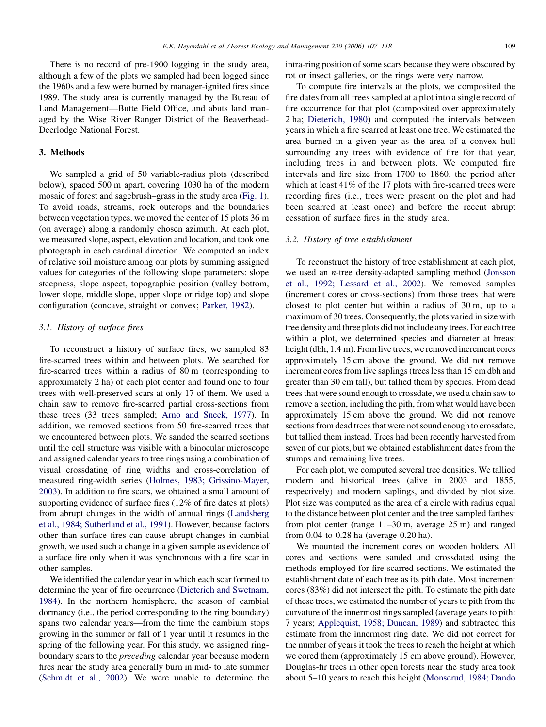There is no record of pre-1900 logging in the study area, although a few of the plots we sampled had been logged since the 1960s and a few were burned by manager-ignited fires since 1989. The study area is currently managed by the Bureau of Land Management—Butte Field Office, and abuts land managed by the Wise River Ranger District of the Beaverhead-Deerlodge National Forest.

#### 3. Methods

We sampled a grid of 50 variable-radius plots (described below), spaced 500 m apart, covering 1030 ha of the modern mosaic of forest and sagebrush–grass in the study area ([Fig. 1\)](#page-1-0). To avoid roads, streams, rock outcrops and the boundaries between vegetation types, we moved the center of 15 plots 36 m (on average) along a randomly chosen azimuth. At each plot, we measured slope, aspect, elevation and location, and took one photograph in each cardinal direction. We computed an index of relative soil moisture among our plots by summing assigned values for categories of the following slope parameters: slope steepness, slope aspect, topographic position (valley bottom, lower slope, middle slope, upper slope or ridge top) and slope configuration (concave, straight or convex; [Parker, 1982\)](#page-10-0).

### 3.1. History of surface fires

To reconstruct a history of surface fires, we sampled 83 fire-scarred trees within and between plots. We searched for fire-scarred trees within a radius of 80 m (corresponding to approximately 2 ha) of each plot center and found one to four trees with well-preserved scars at only 17 of them. We used a chain saw to remove fire-scarred partial cross-sections from these trees (33 trees sampled; [Arno and Sneck, 1977](#page-9-0)). In addition, we removed sections from 50 fire-scarred trees that we encountered between plots. We sanded the scarred sections until the cell structure was visible with a binocular microscope and assigned calendar years to tree rings using a combination of visual crossdating of ring widths and cross-correlation of measured ring-width series ([Holmes, 1983; Grissino-Mayer,](#page-9-0) [2003](#page-9-0)). In addition to fire scars, we obtained a small amount of supporting evidence of surface fires (12% of fire dates at plots) from abrupt changes in the width of annual rings [\(Landsberg](#page-10-0) [et al., 1984; Sutherland et al., 1991\)](#page-10-0). However, because factors other than surface fires can cause abrupt changes in cambial growth, we used such a change in a given sample as evidence of a surface fire only when it was synchronous with a fire scar in other samples.

We identified the calendar year in which each scar formed to determine the year of fire occurrence ([Dieterich and Swetnam,](#page-9-0) [1984](#page-9-0)). In the northern hemisphere, the season of cambial dormancy (i.e., the period corresponding to the ring boundary) spans two calendar years—from the time the cambium stops growing in the summer or fall of 1 year until it resumes in the spring of the following year. For this study, we assigned ringboundary scars to the preceding calendar year because modern fires near the study area generally burn in mid- to late summer ([Schmidt et al., 2002](#page-10-0)). We were unable to determine the intra-ring position of some scars because they were obscured by rot or insect galleries, or the rings were very narrow.

To compute fire intervals at the plots, we composited the fire dates from all trees sampled at a plot into a single record of fire occurrence for that plot (composited over approximately 2 ha; [Dieterich, 1980](#page-9-0)) and computed the intervals between years in which a fire scarred at least one tree. We estimated the area burned in a given year as the area of a convex hull surrounding any trees with evidence of fire for that year, including trees in and between plots. We computed fire intervals and fire size from 1700 to 1860, the period after which at least 41% of the 17 plots with fire-scarred trees were recording fires (i.e., trees were present on the plot and had been scarred at least once) and before the recent abrupt cessation of surface fires in the study area.

#### 3.2. History of tree establishment

To reconstruct the history of tree establishment at each plot, we used an n-tree density-adapted sampling method [\(Jonsson](#page-9-0) [et al., 1992; Lessard et al., 2002](#page-9-0)). We removed samples (increment cores or cross-sections) from those trees that were closest to plot center but within a radius of 30 m, up to a maximum of 30 trees. Consequently, the plots varied in size with tree density and three plots did notinclude any trees. For each tree within a plot, we determined species and diameter at breast height (dbh, 1.4 m). From live trees, we removed increment cores approximately 15 cm above the ground. We did not remove increment cores from live saplings (trees less than 15 cm dbh and greater than 30 cm tall), but tallied them by species. From dead trees that were sound enough to crossdate, we used a chain saw to remove a section, including the pith, from what would have been approximately 15 cm above the ground. We did not remove sections from dead trees that were not sound enough to crossdate, but tallied them instead. Trees had been recently harvested from seven of our plots, but we obtained establishment dates from the stumps and remaining live trees.

For each plot, we computed several tree densities. We tallied modern and historical trees (alive in 2003 and 1855, respectively) and modern saplings, and divided by plot size. Plot size was computed as the area of a circle with radius equal to the distance between plot center and the tree sampled farthest from plot center (range 11–30 m, average 25 m) and ranged from 0.04 to 0.28 ha (average 0.20 ha).

We mounted the increment cores on wooden holders. All cores and sections were sanded and crossdated using the methods employed for fire-scarred sections. We estimated the establishment date of each tree as its pith date. Most increment cores (83%) did not intersect the pith. To estimate the pith date of these trees, we estimated the number of years to pith from the curvature of the innermost rings sampled (average years to pith: 7 years; [Applequist, 1958; Duncan, 1989](#page-9-0)) and subtracted this estimate from the innermost ring date. We did not correct for the number of years it took the trees to reach the height at which we cored them (approximately 15 cm above ground). However, Douglas-fir trees in other open forests near the study area took about 5–10 years to reach this height [\(Monserud, 1984; Dando](#page-10-0)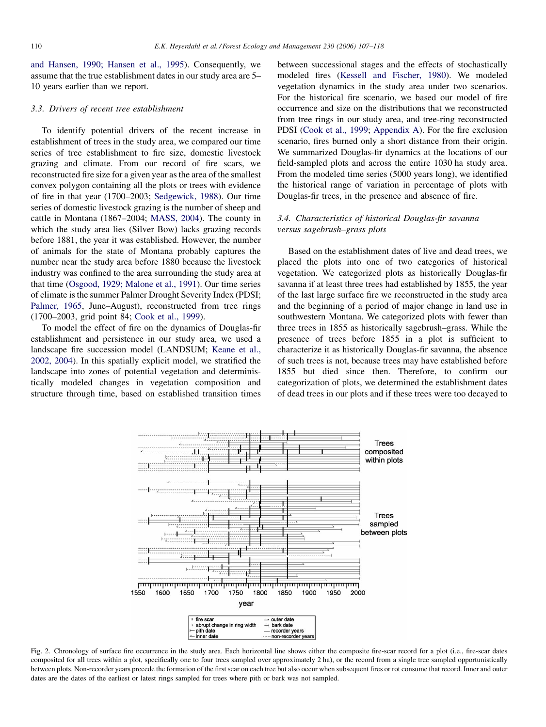<span id="page-3-0"></span>[and Hansen, 1990; Hansen et al., 1995](#page-10-0)). Consequently, we assume that the true establishment dates in our study area are 5– 10 years earlier than we report.

## 3.3. Drivers of recent tree establishment

To identify potential drivers of the recent increase in establishment of trees in the study area, we compared our time series of tree establishment to fire size, domestic livestock grazing and climate. From our record of fire scars, we reconstructed fire size for a given year as the area of the smallest convex polygon containing all the plots or trees with evidence of fire in that year (1700–2003; [Sedgewick, 1988](#page-10-0)). Our time series of domestic livestock grazing is the number of sheep and cattle in Montana (1867–2004; [MASS, 2004](#page-10-0)). The county in which the study area lies (Silver Bow) lacks grazing records before 1881, the year it was established. However, the number of animals for the state of Montana probably captures the number near the study area before 1880 because the livestock industry was confined to the area surrounding the study area at that time [\(Osgood, 1929; Malone et al., 1991\)](#page-10-0). Our time series of climate is the summer Palmer Drought Severity Index (PDSI; [Palmer, 1965](#page-10-0), June–August), reconstructed from tree rings (1700–2003, grid point 84; [Cook et al., 1999](#page-9-0)).

To model the effect of fire on the dynamics of Douglas-fir establishment and persistence in our study area, we used a landscape fire succession model (LANDSUM; [Keane et al.,](#page-9-0) [2002, 2004](#page-9-0)). In this spatially explicit model, we stratified the landscape into zones of potential vegetation and deterministically modeled changes in vegetation composition and structure through time, based on established transition times between successional stages and the effects of stochastically modeled fires [\(Kessell and Fischer, 1980\)](#page-9-0). We modeled vegetation dynamics in the study area under two scenarios. For the historical fire scenario, we based our model of fire occurrence and size on the distributions that we reconstructed from tree rings in our study area, and tree-ring reconstructed PDSI ([Cook et al., 1999;](#page-9-0) [Appendix A](#page-8-0)). For the fire exclusion scenario, fires burned only a short distance from their origin. We summarized Douglas-fir dynamics at the locations of our field-sampled plots and across the entire 1030 ha study area. From the modeled time series (5000 years long), we identified the historical range of variation in percentage of plots with Douglas-fir trees, in the presence and absence of fire.

# 3.4. Characteristics of historical Douglas-fir savanna versus sagebrush–grass plots

Based on the establishment dates of live and dead trees, we placed the plots into one of two categories of historical vegetation. We categorized plots as historically Douglas-fir savanna if at least three trees had established by 1855, the year of the last large surface fire we reconstructed in the study area and the beginning of a period of major change in land use in southwestern Montana. We categorized plots with fewer than three trees in 1855 as historically sagebrush–grass. While the presence of trees before 1855 in a plot is sufficient to characterize it as historically Douglas-fir savanna, the absence of such trees is not, because trees may have established before 1855 but died since then. Therefore, to confirm our categorization of plots, we determined the establishment dates of dead trees in our plots and if these trees were too decayed to



Fig. 2. Chronology of surface fire occurrence in the study area. Each horizontal line shows either the composite fire-scar record for a plot (i.e., fire-scar dates composited for all trees within a plot, specifically one to four trees sampled over approximately 2 ha), or the record from a single tree sampled opportunistically between plots. Non-recorder years precede the formation of the first scar on each tree but also occur when subsequent fires or rot consume that record. Inner and outer dates are the dates of the earliest or latest rings sampled for trees where pith or bark was not sampled.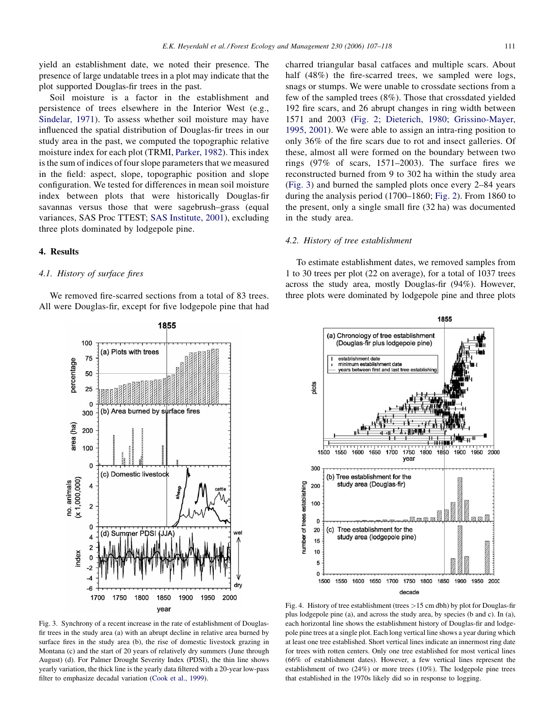<span id="page-4-0"></span>yield an establishment date, we noted their presence. The presence of large undatable trees in a plot may indicate that the plot supported Douglas-fir trees in the past.

Soil moisture is a factor in the establishment and persistence of trees elsewhere in the Interior West (e.g., [Sindelar, 1971](#page-10-0)). To assess whether soil moisture may have influenced the spatial distribution of Douglas-fir trees in our study area in the past, we computed the topographic relative moisture index for each plot (TRMI, [Parker, 1982\)](#page-10-0). This index is the sum of indices of four slope parameters that we measured in the field: aspect, slope, topographic position and slope configuration. We tested for differences in mean soil moisture index between plots that were historically Douglas-fir savannas versus those that were sagebrush–grass (equal variances, SAS Proc TTEST; [SAS Institute, 2001\)](#page-10-0), excluding three plots dominated by lodgepole pine.

## 4. Results

## 4.1. History of surface fires

100

75

50

25 C

300

100

0

4

 $\overline{\mathbf{c}}$ 

 $\pmb{0}$ 

-4

 $-6$ 

1700

1750

percentage

area (ha) 200

no. animals<br>(x 1,000,000)

index

We removed fire-scarred sections from a total of 83 trees. All were Douglas-fir, except for five lodgepole pine that had

(b) Area burned by surface fires

(c) Domestic livestock

er PDS

1800

(a) Plots with trees

1855

Fig. 3. Synchrony of a recent increase in the rate of establishment of Douglasfir trees in the study area (a) with an abrupt decline in relative area burned by surface fires in the study area (b), the rise of domestic livestock grazing in Montana (c) and the start of 20 years of relatively dry summers (June through August) (d). For Palmer Drought Severity Index (PDSI), the thin line shows yearly variation, the thick line is the yearly data filtered with a 20-year low-pass filter to emphasize decadal variation [\(Cook et al., 1999\)](#page-9-0).

1850

year

dry

2000

1950

1900

charred triangular basal catfaces and multiple scars. About half (48%) the fire-scarred trees, we sampled were logs, snags or stumps. We were unable to crossdate sections from a few of the sampled trees (8%). Those that crossdated yielded 192 fire scars, and 26 abrupt changes in ring width between 1571 and 2003 [\(Fig. 2;](#page-3-0) [Dieterich, 1980; Grissino-Mayer,](#page-9-0) [1995, 2001\)](#page-9-0). We were able to assign an intra-ring position to only 36% of the fire scars due to rot and insect galleries. Of these, almost all were formed on the boundary between two rings (97% of scars, 1571–2003). The surface fires we reconstructed burned from 9 to 302 ha within the study area (Fig. 3) and burned the sampled plots once every 2–84 years during the analysis period (1700–1860; [Fig. 2\)](#page-3-0). From 1860 to the present, only a single small fire (32 ha) was documented in the study area.

#### 4.2. History of tree establishment

To estimate establishment dates, we removed samples from 1 to 30 trees per plot (22 on average), for a total of 1037 trees across the study area, mostly Douglas-fir (94%). However, three plots were dominated by lodgepole pine and three plots



Fig. 4. History of tree establishment (trees >15 cm dbh) by plot for Douglas-fir plus lodgepole pine (a), and across the study area, by species (b and c). In (a), each horizontal line shows the establishment history of Douglas-fir and lodgepole pine trees at a single plot. Each long vertical line shows a year during which at least one tree established. Short vertical lines indicate an innermost ring date for trees with rotten centers. Only one tree established for most vertical lines (66% of establishment dates). However, a few vertical lines represent the establishment of two (24%) or more trees (10%). The lodgepole pine trees that established in the 1970s likely did so in response to logging.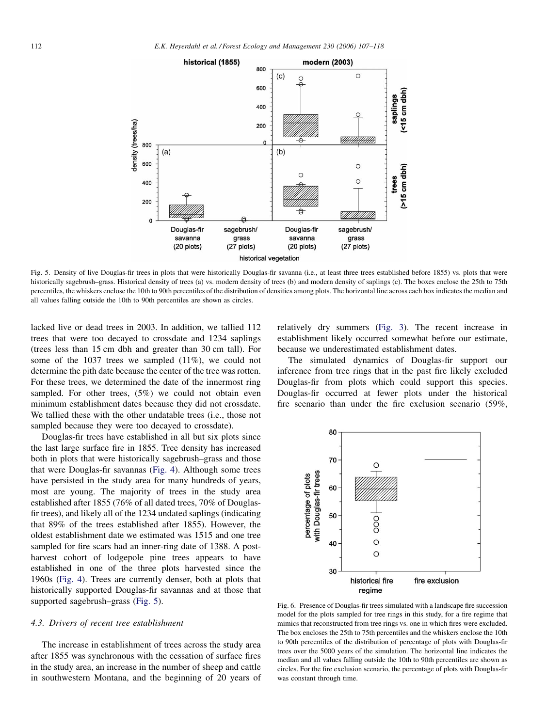<span id="page-5-0"></span>

Fig. 5. Density of live Douglas-fir trees in plots that were historically Douglas-fir savanna (i.e., at least three trees established before 1855) vs. plots that were historically sagebrush–grass. Historical density of trees (a) vs. modern density of trees (b) and modern density of saplings (c). The boxes enclose the 25th to 75th percentiles, the whiskers enclose the 10th to 90th percentiles of the distribution of densities among plots. The horizontal line across each box indicates the median and all values falling outside the 10th to 90th percentiles are shown as circles.

lacked live or dead trees in 2003. In addition, we tallied 112 trees that were too decayed to crossdate and 1234 saplings (trees less than 15 cm dbh and greater than 30 cm tall). For some of the 1037 trees we sampled (11%), we could not determine the pith date because the center of the tree was rotten. For these trees, we determined the date of the innermost ring sampled. For other trees,  $(5%)$  we could not obtain even minimum establishment dates because they did not crossdate. We tallied these with the other undatable trees (i.e., those not sampled because they were too decayed to crossdate).

Douglas-fir trees have established in all but six plots since the last large surface fire in 1855. Tree density has increased both in plots that were historically sagebrush–grass and those that were Douglas-fir savannas ([Fig. 4\)](#page-4-0). Although some trees have persisted in the study area for many hundreds of years, most are young. The majority of trees in the study area established after 1855 (76% of all dated trees, 70% of Douglasfir trees), and likely all of the 1234 undated saplings (indicating that 89% of the trees established after 1855). However, the oldest establishment date we estimated was 1515 and one tree sampled for fire scars had an inner-ring date of 1388. A postharvest cohort of lodgepole pine trees appears to have established in one of the three plots harvested since the 1960s ([Fig. 4](#page-4-0)). Trees are currently denser, both at plots that historically supported Douglas-fir savannas and at those that supported sagebrush–grass (Fig. 5).

### 4.3. Drivers of recent tree establishment

The increase in establishment of trees across the study area after 1855 was synchronous with the cessation of surface fires in the study area, an increase in the number of sheep and cattle in southwestern Montana, and the beginning of 20 years of relatively dry summers [\(Fig. 3\)](#page-4-0). The recent increase in establishment likely occurred somewhat before our estimate, because we underestimated establishment dates.

The simulated dynamics of Douglas-fir support our inference from tree rings that in the past fire likely excluded Douglas-fir from plots which could support this species. Douglas-fir occurred at fewer plots under the historical fire scenario than under the fire exclusion scenario (59%,



Fig. 6. Presence of Douglas-fir trees simulated with a landscape fire succession model for the plots sampled for tree rings in this study, for a fire regime that mimics that reconstructed from tree rings vs. one in which fires were excluded. The box encloses the 25th to 75th percentiles and the whiskers enclose the 10th to 90th percentiles of the distribution of percentage of plots with Douglas-fir trees over the 5000 years of the simulation. The horizontal line indicates the median and all values falling outside the 10th to 90th percentiles are shown as circles. For the fire exclusion scenario, the percentage of plots with Douglas-fir was constant through time.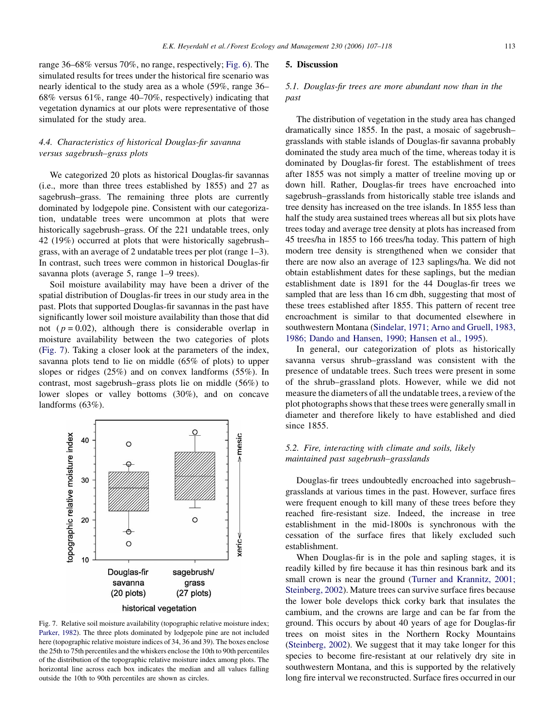range 36–68% versus 70%, no range, respectively; [Fig. 6\)](#page-5-0). The simulated results for trees under the historical fire scenario was nearly identical to the study area as a whole (59%, range 36– 68% versus 61%, range 40–70%, respectively) indicating that vegetation dynamics at our plots were representative of those simulated for the study area.

## 4.4. Characteristics of historical Douglas-fir savanna versus sagebrush–grass plots

We categorized 20 plots as historical Douglas-fir savannas (i.e., more than three trees established by 1855) and 27 as sagebrush–grass. The remaining three plots are currently dominated by lodgepole pine. Consistent with our categorization, undatable trees were uncommon at plots that were historically sagebrush–grass. Of the 221 undatable trees, only 42 (19%) occurred at plots that were historically sagebrush– grass, with an average of 2 undatable trees per plot (range 1–3). In contrast, such trees were common in historical Douglas-fir savanna plots (average 5, range 1–9 trees).

Soil moisture availability may have been a driver of the spatial distribution of Douglas-fir trees in our study area in the past. Plots that supported Douglas-fir savannas in the past have significantly lower soil moisture availability than those that did not ( $p = 0.02$ ), although there is considerable overlap in moisture availability between the two categories of plots (Fig. 7). Taking a closer look at the parameters of the index, savanna plots tend to lie on middle (65% of plots) to upper slopes or ridges (25%) and on convex landforms (55%). In contrast, most sagebrush–grass plots lie on middle (56%) to lower slopes or valley bottoms (30%), and on concave landforms (63%).



Fig. 7. Relative soil moisture availability (topographic relative moisture index; [Parker, 1982\)](#page-10-0). The three plots dominated by lodgepole pine are not included here (topographic relative moisture indices of 34, 36 and 39). The boxes enclose the 25th to 75th percentiles and the whiskers enclose the 10th to 90th percentiles of the distribution of the topographic relative moisture index among plots. The horizontal line across each box indicates the median and all values falling outside the 10th to 90th percentiles are shown as circles.

#### 5. Discussion

# 5.1. Douglas-fir trees are more abundant now than in the past

The distribution of vegetation in the study area has changed dramatically since 1855. In the past, a mosaic of sagebrush– grasslands with stable islands of Douglas-fir savanna probably dominated the study area much of the time, whereas today it is dominated by Douglas-fir forest. The establishment of trees after 1855 was not simply a matter of treeline moving up or down hill. Rather, Douglas-fir trees have encroached into sagebrush–grasslands from historically stable tree islands and tree density has increased on the tree islands. In 1855 less than half the study area sustained trees whereas all but six plots have trees today and average tree density at plots has increased from 45 trees/ha in 1855 to 166 trees/ha today. This pattern of high modern tree density is strengthened when we consider that there are now also an average of 123 saplings/ha. We did not obtain establishment dates for these saplings, but the median establishment date is 1891 for the 44 Douglas-fir trees we sampled that are less than 16 cm dbh, suggesting that most of these trees established after 1855. This pattern of recent tree encroachment is similar to that documented elsewhere in southwestern Montana ([Sindelar, 1971; Arno and Gruell, 1983,](#page-10-0) [1986; Dando and Hansen, 1990; Hansen et al., 1995\)](#page-10-0).

In general, our categorization of plots as historically savanna versus shrub–grassland was consistent with the presence of undatable trees. Such trees were present in some of the shrub–grassland plots. However, while we did not measure the diameters of all the undatable trees, a review of the plot photographs shows that these trees were generally small in diameter and therefore likely to have established and died since 1855.

# 5.2. Fire, interacting with climate and soils, likely maintained past sagebrush–grasslands

Douglas-fir trees undoubtedly encroached into sagebrush– grasslands at various times in the past. However, surface fires were frequent enough to kill many of these trees before they reached fire-resistant size. Indeed, the increase in tree establishment in the mid-1800s is synchronous with the cessation of the surface fires that likely excluded such establishment.

When Douglas-fir is in the pole and sapling stages, it is readily killed by fire because it has thin resinous bark and its small crown is near the ground [\(Turner and Krannitz, 2001;](#page-10-0) [Steinberg, 2002](#page-10-0)). Mature trees can survive surface fires because the lower bole develops thick corky bark that insulates the cambium, and the crowns are large and can be far from the ground. This occurs by about 40 years of age for Douglas-fir trees on moist sites in the Northern Rocky Mountains ([Steinberg, 2002\)](#page-10-0). We suggest that it may take longer for this species to become fire-resistant at our relatively dry site in southwestern Montana, and this is supported by the relatively long fire interval we reconstructed. Surface fires occurred in our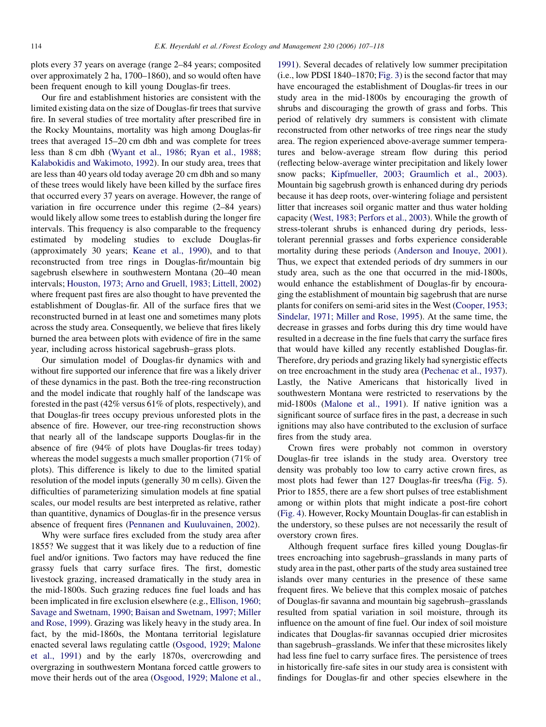plots every 37 years on average (range 2–84 years; composited over approximately 2 ha, 1700–1860), and so would often have been frequent enough to kill young Douglas-fir trees.

Our fire and establishment histories are consistent with the limited existing data on the size of Douglas-fir trees that survive fire. In several studies of tree mortality after prescribed fire in the Rocky Mountains, mortality was high among Douglas-fir trees that averaged 15–20 cm dbh and was complete for trees less than 8 cm dbh ([Wyant et al., 1986; Ryan et al., 1988;](#page-11-0) [Kalabokidis and Wakimoto, 1992\)](#page-11-0). In our study area, trees that are less than 40 years old today average 20 cm dbh and so many of these trees would likely have been killed by the surface fires that occurred every 37 years on average. However, the range of variation in fire occurrence under this regime (2–84 years) would likely allow some trees to establish during the longer fire intervals. This frequency is also comparable to the frequency estimated by modeling studies to exclude Douglas-fir (approximately 30 years; [Keane et al., 1990\)](#page-9-0), and to that reconstructed from tree rings in Douglas-fir/mountain big sagebrush elsewhere in southwestern Montana (20–40 mean intervals; [Houston, 1973; Arno and Gruell, 1983; Littell, 2002](#page-9-0)) where frequent past fires are also thought to have prevented the establishment of Douglas-fir. All of the surface fires that we reconstructed burned in at least one and sometimes many plots across the study area. Consequently, we believe that fires likely burned the area between plots with evidence of fire in the same year, including across historical sagebrush–grass plots.

Our simulation model of Douglas-fir dynamics with and without fire supported our inference that fire was a likely driver of these dynamics in the past. Both the tree-ring reconstruction and the model indicate that roughly half of the landscape was forested in the past (42% versus 61% of plots, respectively), and that Douglas-fir trees occupy previous unforested plots in the absence of fire. However, our tree-ring reconstruction shows that nearly all of the landscape supports Douglas-fir in the absence of fire (94% of plots have Douglas-fir trees today) whereas the model suggests a much smaller proportion (71% of plots). This difference is likely to due to the limited spatial resolution of the model inputs (generally 30 m cells). Given the difficulties of parameterizing simulation models at fine spatial scales, our model results are best interpreted as relative, rather than quantitive, dynamics of Douglas-fir in the presence versus absence of frequent fires ([Pennanen and Kuuluvainen, 2002\)](#page-10-0).

Why were surface fires excluded from the study area after 1855? We suggest that it was likely due to a reduction of fine fuel and/or ignitions. Two factors may have reduced the fine grassy fuels that carry surface fires. The first, domestic livestock grazing, increased dramatically in the study area in the mid-1800s. Such grazing reduces fine fuel loads and has been implicated in fire exclusion elsewhere (e.g., [Ellison, 1960;](#page-9-0) [Savage and Swetnam, 1990; Baisan and Swetnam, 1997; Miller](#page-9-0) [and Rose, 1999](#page-9-0)). Grazing was likely heavy in the study area. In fact, by the mid-1860s, the Montana territorial legislature enacted several laws regulating cattle ([Osgood, 1929; Malone](#page-10-0) [et al., 1991\)](#page-10-0) and by the early 1870s, overcrowding and overgrazing in southwestern Montana forced cattle growers to move their herds out of the area ([Osgood, 1929; Malone et al.,](#page-10-0)

[1991\)](#page-10-0). Several decades of relatively low summer precipitation (i.e., low PDSI 1840–1870; [Fig. 3\)](#page-4-0) is the second factor that may have encouraged the establishment of Douglas-fir trees in our study area in the mid-1800s by encouraging the growth of shrubs and discouraging the growth of grass and forbs. This period of relatively dry summers is consistent with climate reconstructed from other networks of tree rings near the study area. The region experienced above-average summer temperatures and below-average stream flow during this period (reflecting below-average winter precipitation and likely lower snow packs; [Kipfmueller, 2003; Graumlich et al., 2003\)](#page-10-0). Mountain big sagebrush growth is enhanced during dry periods because it has deep roots, over-wintering foliage and persistent litter that increases soil organic matter and thus water holding capacity ([West, 1983; Perfors et al., 2003](#page-11-0)). While the growth of stress-tolerant shrubs is enhanced during dry periods, lesstolerant perennial grasses and forbs experience considerable mortality during these periods ([Anderson and Inouye, 2001\)](#page-9-0). Thus, we expect that extended periods of dry summers in our study area, such as the one that occurred in the mid-1800s, would enhance the establishment of Douglas-fir by encouraging the establishment of mountain big sagebrush that are nurse plants for conifers on semi-arid sites in the West [\(Cooper, 1953;](#page-9-0) [Sindelar, 1971; Miller and Rose, 1995\)](#page-9-0). At the same time, the decrease in grasses and forbs during this dry time would have resulted in a decrease in the fine fuels that carry the surface fires that would have killed any recently established Douglas-fir. Therefore, dry periods and grazing likely had synergistic effects on tree encroachment in the study area [\(Pechenac et al., 1937\)](#page-10-0). Lastly, the Native Americans that historically lived in southwestern Montana were restricted to reservations by the mid-1800s ([Malone et al., 1991\)](#page-10-0). If native ignition was a significant source of surface fires in the past, a decrease in such ignitions may also have contributed to the exclusion of surface fires from the study area.

Crown fires were probably not common in overstory Douglas-fir tree islands in the study area. Overstory tree density was probably too low to carry active crown fires, as most plots had fewer than 127 Douglas-fir trees/ha [\(Fig. 5\)](#page-5-0). Prior to 1855, there are a few short pulses of tree establishment among or within plots that might indicate a post-fire cohort [\(Fig. 4\)](#page-4-0). However, Rocky Mountain Douglas-fir can establish in the understory, so these pulses are not necessarily the result of overstory crown fires.

Although frequent surface fires killed young Douglas-fir trees encroaching into sagebrush–grasslands in many parts of study area in the past, other parts of the study area sustained tree islands over many centuries in the presence of these same frequent fires. We believe that this complex mosaic of patches of Douglas-fir savanna and mountain big sagebrush–grasslands resulted from spatial variation in soil moisture, through its influence on the amount of fine fuel. Our index of soil moisture indicates that Douglas-fir savannas occupied drier microsites than sagebrush–grasslands. We infer that these microsites likely had less fine fuel to carry surface fires. The persistence of trees in historically fire-safe sites in our study area is consistent with findings for Douglas-fir and other species elsewhere in the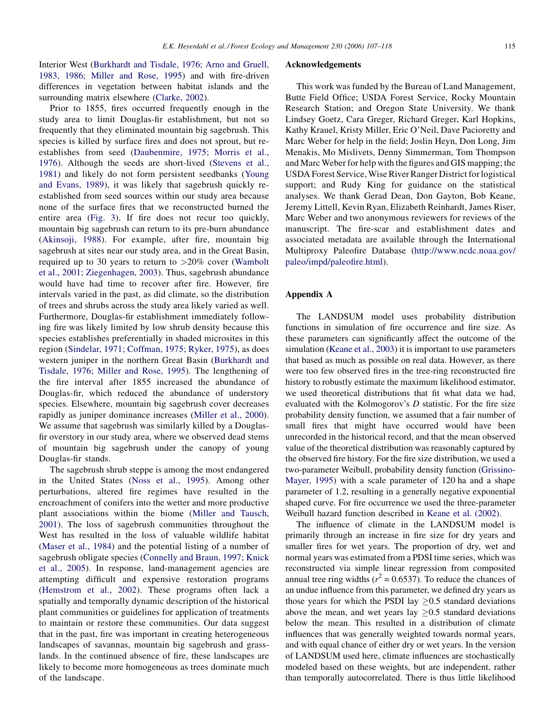<span id="page-8-0"></span>Interior West [\(Burkhardt and Tisdale, 1976; Arno and Gruell,](#page-9-0) [1983, 1986; Miller and Rose, 1995\)](#page-9-0) and with fire-driven differences in vegetation between habitat islands and the surrounding matrix elsewhere ([Clarke, 2002](#page-9-0)).

Prior to 1855, fires occurred frequently enough in the study area to limit Douglas-fir establishment, but not so frequently that they eliminated mountain big sagebrush. This species is killed by surface fires and does not sprout, but reestablishes from seed ([Daubenmire, 1975; Morris et al.,](#page-9-0) [1976\)](#page-9-0). Although the seeds are short-lived [\(Stevens et al.,](#page-10-0) [1981\)](#page-10-0) and likely do not form persistent seedbanks [\(Young](#page-11-0) [and Evans, 1989\)](#page-11-0), it was likely that sagebrush quickly reestablished from seed sources within our study area because none of the surface fires that we reconstructed burned the entire area ([Fig. 3](#page-4-0)). If fire does not recur too quickly, mountain big sagebrush can return to its pre-burn abundance ([Akinsoji, 1988\)](#page-9-0). For example, after fire, mountain big sagebrush at sites near our study area, and in the Great Basin, required up to 30 years to return to >20% cover [\(Wambolt](#page-10-0) [et al., 2001; Ziegenhagen, 2003](#page-10-0)). Thus, sagebrush abundance would have had time to recover after fire. However, fire intervals varied in the past, as did climate, so the distribution of trees and shrubs across the study area likely varied as well. Furthermore, Douglas-fir establishment immediately following fire was likely limited by low shrub density because this species establishes preferentially in shaded microsites in this region [\(Sindelar, 1971; Coffman, 1975; Ryker, 1975\)](#page-10-0), as does western juniper in the northern Great Basin ([Burkhardt and](#page-9-0) [Tisdale, 1976; Miller and Rose, 1995\)](#page-9-0). The lengthening of the fire interval after 1855 increased the abundance of Douglas-fir, which reduced the abundance of understory species. Elsewhere, mountain big sagebrush cover decreases rapidly as juniper dominance increases ([Miller et al., 2000\)](#page-10-0). We assume that sagebrush was similarly killed by a Douglasfir overstory in our study area, where we observed dead stems of mountain big sagebrush under the canopy of young Douglas-fir stands.

The sagebrush shrub steppe is among the most endangered in the United States ([Noss et al., 1995\)](#page-10-0). Among other perturbations, altered fire regimes have resulted in the encroachment of conifers into the wetter and more productive plant associations within the biome ([Miller and Tausch,](#page-10-0) [2001\)](#page-10-0). The loss of sagebrush communities throughout the West has resulted in the loss of valuable wildlife habitat ([Maser et al., 1984\)](#page-10-0) and the potential listing of a number of sagebrush obligate species [\(Connelly and Braun, 1997; Knick](#page-9-0) [et al., 2005](#page-9-0)). In response, land-management agencies are attempting difficult and expensive restoration programs ([Hemstrom et al., 2002](#page-9-0)). These programs often lack a spatially and temporally dynamic description of the historical plant communities or guidelines for application of treatments to maintain or restore these communities. Our data suggest that in the past, fire was important in creating heterogeneous landscapes of savannas, mountain big sagebrush and grasslands. In the continued absence of fire, these landscapes are likely to become more homogeneous as trees dominate much of the landscape.

#### Acknowledgements

This work was funded by the Bureau of Land Management, Butte Field Office; USDA Forest Service, Rocky Mountain Research Station; and Oregon State University. We thank Lindsey Goetz, Cara Greger, Richard Greger, Karl Hopkins, Kathy Krauel, Kristy Miller, Eric O'Neil, Dave Pacioretty and Marc Weber for help in the field; Joslin Heyn, Don Long, Jim Menakis, Mo Mislivets, Denny Simmerman, Tom Thompson and Marc Weber for help with the figures and GIS mapping; the USDA Forest Service, Wise River Ranger District for logistical support; and Rudy King for guidance on the statistical analyses. We thank Gerad Dean, Don Gayton, Bob Keane, Jeremy Littell, Kevin Ryan, Elizabeth Reinhardt, James Riser, Marc Weber and two anonymous reviewers for reviews of the manuscript. The fire-scar and establishment dates and associated metadata are available through the International Multiproxy Paleofire Database [\(http://www.ncdc.noaa.gov/](http://www.ncdc.noaa.gov/paleo/impd/paleofire.html) [paleo/impd/paleofire.html\)](http://www.ncdc.noaa.gov/paleo/impd/paleofire.html).

# Appendix A

The LANDSUM model uses probability distribution functions in simulation of fire occurrence and fire size. As these parameters can significantly affect the outcome of the simulation [\(Keane et al., 2003](#page-9-0)) it is important to use parameters that based as much as possible on real data. However, as there were too few observed fires in the tree-ring reconstructed fire history to robustly estimate the maximum likelihood estimator, we used theoretical distributions that fit what data we had, evaluated with the Kolmogorov's D statistic. For the fire size probability density function, we assumed that a fair number of small fires that might have occurred would have been unrecorded in the historical record, and that the mean observed value of the theoretical distribution was reasonably captured by the observed fire history. For the fire size distribution, we used a two-parameter Weibull, probability density function [\(Grissino-](#page-9-0)[Mayer, 1995\)](#page-9-0) with a scale parameter of 120 ha and a shape parameter of 1.2, resulting in a generally negative exponential shaped curve. For fire occurrence we used the three-parameter Weibull hazard function described in [Keane et al. \(2002\).](#page-9-0)

The influence of climate in the LANDSUM model is primarily through an increase in fire size for dry years and smaller fires for wet years. The proportion of dry, wet and normal years was estimated from a PDSI time series, which was reconstructed via simple linear regression from composited annual tree ring widths  $(r^2 = 0.6537)$ . To reduce the chances of an undue influence from this parameter, we defined dry years as those years for which the PSDI lay  $\geq 0.5$  standard deviations above the mean, and wet years lay  $\geq 0.5$  standard deviations below the mean. This resulted in a distribution of climate influences that was generally weighted towards normal years, and with equal chance of either dry or wet years. In the version of LANDSUM used here, climate influences are stochastically modeled based on these weights, but are independent, rather than temporally autocorrelated. There is thus little likelihood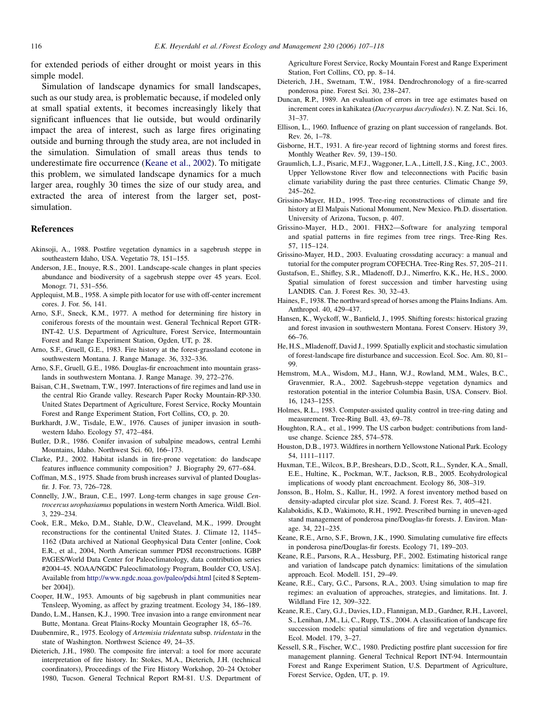<span id="page-9-0"></span>for extended periods of either drought or moist years in this simple model.

Simulation of landscape dynamics for small landscapes, such as our study area, is problematic because, if modeled only at small spatial extents, it becomes increasingly likely that significant influences that lie outside, but would ordinarily impact the area of interest, such as large fires originating outside and burning through the study area, are not included in the simulation. Simulation of small areas thus tends to underestimate fire occurrence (Keane et al., 2002). To mitigate this problem, we simulated landscape dynamics for a much larger area, roughly 30 times the size of our study area, and extracted the area of interest from the larger set, postsimulation.

#### References

- Akinsoji, A., 1988. Postfire vegetation dynamics in a sagebrush steppe in southeastern Idaho, USA. Vegetatio 78, 151–155.
- Anderson, J.E., Inouye, R.S., 2001. Landscape-scale changes in plant species abundance and biodiversity of a sagebrush steppe over 45 years. Ecol. Monogr. 71, 531–556.
- Applequist, M.B., 1958. A simple pith locator for use with off-center increment cores. J. For. 56, 141.
- Arno, S.F., Sneck, K.M., 1977. A method for determining fire history in coniferous forests of the mountain west. General Technical Report GTR-INT-42. U.S. Department of Agriculture, Forest Service, Intermountain Forest and Range Experiment Station, Ogden, UT, p. 28.
- Arno, S.F., Gruell, G.E., 1983. Fire history at the forest-grassland ecotone in southwestern Montana. J. Range Manage. 36, 332–336.
- Arno, S.F., Gruell, G.E., 1986. Douglas-fir encroachment into mountain grasslands in southwestern Montana. J. Range Manage. 39, 272–276.
- Baisan, C.H., Swetnam, T.W., 1997. Interactions of fire regimes and land use in the central Rio Grande valley. Research Paper Rocky Mountain-RP-330. United States Department of Agriculture, Forest Service, Rocky Mountain Forest and Range Experiment Station, Fort Collins, CO, p. 20.
- Burkhardt, J.W., Tisdale, E.W., 1976. Causes of juniper invasion in southwestern Idaho. Ecology 57, 472–484.
- Butler, D.R., 1986. Conifer invasion of subalpine meadows, central Lemhi Mountains, Idaho. Northwest Sci. 60, 166–173.
- Clarke, P.J., 2002. Habitat islands in fire-prone vegetation: do landscape features influence community composition? J. Biography 29, 677–684.
- Coffman, M.S., 1975. Shade from brush increases survival of planted Douglasfir. J. For. 73, 726–728.
- Connelly, J.W., Braun, C.E., 1997. Long-term changes in sage grouse Centrocercus urophasiamus populations in western North America. Wildl. Biol. 3, 229–234.
- Cook, E.R., Meko, D.M., Stahle, D.W., Cleaveland, M.K., 1999. Drought reconstructions for the continental United States. J. Climate 12, 1145– 1162 (Data archived at National Geophysical Data Center [online, Cook E.R., et al., 2004, North American summer PDSI reconstructions. IGBP PAGES/World Data Center for Paleoclimatology, data contribution series #2004-45. NOAA/NGDC Paleoclimatology Program, Boulder CO, USA]. Available from <http://www.ngdc.noaa.gov/paleo/pdsi.html> [cited 8 September 2004]).
- Cooper, H.W., 1953. Amounts of big sagebrush in plant communities near Tensleep, Wyoming, as affect by grazing treatment. Ecology 34, 186–189.
- Dando, L.M., Hansen, K.J., 1990. Tree invasion into a range environment near Butte, Montana. Great Plains-Rocky Mountain Geographer 18, 65–76.
- Daubenmire, R., 1975. Ecology of Artemisia tridentata subsp. tridentata in the state of Washington. Northwest Science 49, 24–35.
- Dieterich, J.H., 1980. The composite fire interval: a tool for more accurate interpretation of fire history. In: Stokes, M.A., Dieterich, J.H. (technical coordinators), Proceedings of the Fire History Workshop, 20–24 October 1980, Tucson. General Technical Report RM-81. U.S. Department of

Agriculture Forest Service, Rocky Mountain Forest and Range Experiment Station, Fort Collins, CO, pp. 8–14.

- Dieterich, J.H., Swetnam, T.W., 1984. Dendrochronology of a fire-scarred ponderosa pine. Forest Sci. 30, 238–247.
- Duncan, R.P., 1989. An evaluation of errors in tree age estimates based on increment cores in kahikatea (Dacrycarpus dacrydiodes). N. Z. Nat. Sci. 16, 31–37.
- Ellison, L., 1960. Influence of grazing on plant succession of rangelands. Bot. Rev. 26, 1–78.
- Gisborne, H.T., 1931. A fire-year record of lightning storms and forest fires. Monthly Weather Rev. 59, 139–150.
- Graumlich, L.J., Pisaric, M.F.J., Waggoner, L.A., Littell, J.S., King, J.C., 2003. Upper Yellowstone River flow and teleconnections with Pacific basin climate variability during the past three centuries. Climatic Change 59, 245–262.
- Grissino-Mayer, H.D., 1995. Tree-ring reconstructions of climate and fire history at El Malpais National Monument, New Mexico. Ph.D. dissertation. University of Arizona, Tucson, p. 407.
- Grissino-Mayer, H.D., 2001. FHX2—Software for analyzing temporal and spatial patterns in fire regimes from tree rings. Tree-Ring Res. 57, 115–124.
- Grissino-Mayer, H.D., 2003. Evaluating crossdating accuracy: a manual and tutorial for the computer program COFECHA. Tree-Ring Res. 57, 205–211.
- Gustafson, E., Shifley, S.R., Mladenoff, D.J., Nimerfro, K.K., He, H.S., 2000. Spatial simulation of forest succession and timber harvesting using LANDIS. Can. J. Forest Res. 30, 32–43.
- Haines, F., 1938. The northward spread of horses among the Plains Indians. Am. Anthropol. 40, 429–437.
- Hansen, K., Wyckoff, W., Banfield, J., 1995. Shifting forests: historical grazing and forest invasion in southwestern Montana. Forest Conserv. History 39, 66–76.
- He, H.S., Mladenoff, David J., 1999. Spatially explicit and stochastic simulation of forest-landscape fire disturbance and succession. Ecol. Soc. Am. 80, 81– 99.
- Hemstrom, M.A., Wisdom, M.J., Hann, W.J., Rowland, M.M., Wales, B.C., Gravenmier, R.A., 2002. Sagebrush-steppe vegetation dynamics and restoration potential in the interior Columbia Basin, USA. Conserv. Biol. 16, 1243–1255.
- Holmes, R.L., 1983. Computer-assisted quality control in tree-ring dating and measurement. Tree-Ring Bull. 43, 69–78.
- Houghton, R.A., et al., 1999. The US carbon budget: contributions from landuse change. Science 285, 574–578.
- Houston, D.B., 1973. Wildfires in northern Yellowstone National Park. Ecology 54, 1111–1117.
- Huxman, T.E., Wilcox, B.P., Breshears, D.D., Scott, R.L., Synder, K.A., Small, E.E., Hultine, K., Pockman, W.T., Jackson, R.B., 2005. Ecohydrological implications of woody plant encroachment. Ecology 86, 308–319.
- Jonsson, B., Holm, S., Kallur, H., 1992. A forest inventory method based on density-adapted circular plot size. Scand. J. Forest Res. 7, 405–421.
- Kalabokidis, K.D., Wakimoto, R.H., 1992. Prescribed burning in uneven-aged stand management of ponderosa pine/Douglas-fir forests. J. Environ. Manage. 34, 221–235.
- Keane, R.E., Arno, S.F., Brown, J.K., 1990. Simulating cumulative fire effects in ponderosa pine/Douglas-fir forests. Ecology 71, 189–203.
- Keane, R.E., Parsons, R.A., Hessburg, P.F., 2002. Estimating historical range and variation of landscape patch dynamics: limitations of the simulation approach. Ecol. Modell. 151, 29–49.
- Keane, R.E., Cary, G.C., Parsons, R.A., 2003. Using simulation to map fire regimes: an evaluation of approaches, strategies, and limitations. Int. J. Wildland Fire 12, 309–322.
- Keane, R.E., Cary, G.J., Davies, I.D., Flannigan, M.D., Gardner, R.H., Lavorel, S., Lenihan, J.M., Li, C., Rupp, T.S., 2004. A classification of landscape fire succession models: spatial simulations of fire and vegetation dynamics. Ecol. Model. 179, 3–27.
- Kessell, S.R., Fischer, W.C., 1980. Predicting postfire plant succession for fire management planning. General Technical Report INT-94. Intermountain Forest and Range Experiment Station, U.S. Department of Agriculture, Forest Service, Ogden, UT, p. 19.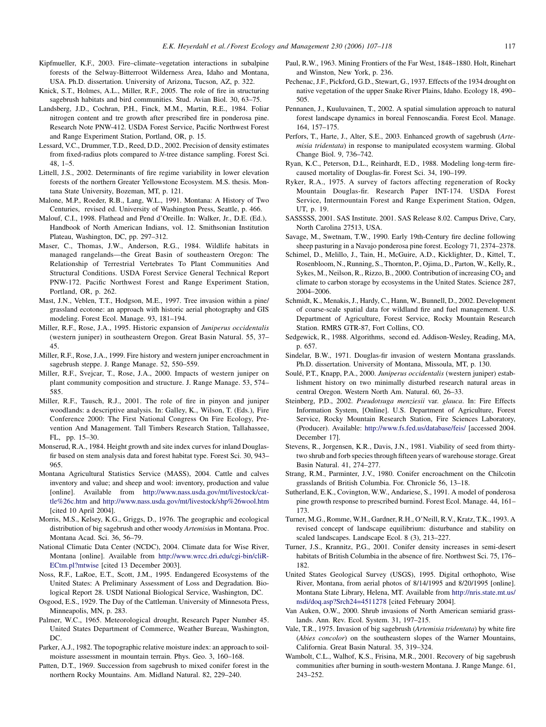- <span id="page-10-0"></span>Kipfmueller, K.F., 2003. Fire–climate–vegetation interactions in subalpine forests of the Selway-Bitterroot Wilderness Area, Idaho and Montana, USA. Ph.D. dissertation. University of Arizona, Tucson, AZ, p. 322.
- Knick, S.T., Holmes, A.L., Miller, R.F., 2005. The role of fire in structuring sagebrush habitats and bird communities. Stud. Avian Biol. 30, 63–75.
- Landsberg, J.D., Cochran, P.H., Finck, M.M., Martin, R.E., 1984. Foliar nitrogen content and tre growth after prescribed fire in ponderosa pine. Research Note PNW-412. USDA Forest Service, Pacific Northwest Forest and Range Experiment Station, Portland, OR, p. 15.
- Lessard, V.C., Drummer, T.D., Reed, D.D., 2002. Precision of density estimates from fixed-radius plots compared to N-tree distance sampling. Forest Sci. 48, 1–5.
- Littell, J.S., 2002. Determinants of fire regime variability in lower elevation forests of the northern Greater Yellowstone Ecosystem. M.S. thesis. Montana State University, Bozeman, MT, p. 121.
- Malone, M.P., Roeder, R.B., Lang, W.L., 1991. Montana: A History of Two Centuries, revised ed. University of Washington Press, Seattle, p. 466.
- Malouf, C.I., 1998. Flathead and Pend d'Oreille. In: Walker, Jr., D.E. (Ed.), Handbook of North American Indians, vol. 12. Smithsonian Institution Plateau, Washington, DC, pp. 297–312.
- Maser, C., Thomas, J.W., Anderson, R.G., 1984. Wildlife habitats in managed rangelands—the Great Basin of southeastern Oregon: The Relationship of Terrestrial Vertebrates To Plant Communities And Structural Conditions. USDA Forest Service General Technical Report PNW-172. Pacific Northwest Forest and Range Experiment Station, Portland, OR, p. 262.
- Mast, J.N., Veblen, T.T., Hodgson, M.E., 1997. Tree invasion within a pine/ grassland ecotone: an approach with historic aerial photography and GIS modeling. Forest Ecol. Manage. 93, 181–194.
- Miller, R.F., Rose, J.A., 1995. Historic expansion of Juniperus occidentalis (western juniper) in southeastern Oregon. Great Basin Natural. 55, 37– 45.
- Miller, R.F., Rose, J.A., 1999. Fire history and western juniper encroachment in sagebrush steppe. J. Range Manage. 52, 550–559.
- Miller, R.F., Svejcar, T., Rose, J.A., 2000. Impacts of western juniper on plant community composition and structure. J. Range Manage. 53, 574– 585.
- Miller, R.F., Tausch, R.J., 2001. The role of fire in pinyon and juniper woodlands: a descriptive analysis. In: Galley, K., Wilson, T. (Eds.), Fire Conference 2000: The First National Congress On Fire Ecology, Prevention And Management. Tall Timbers Research Station, Tallahassee, FL, pp. 15–30.
- Monserud, R.A., 1984. Height growth and site index curves for inland Douglasfir based on stem analysis data and forest habitat type. Forest Sci. 30, 943– 965.
- Montana Agricultural Statistics Service (MASS), 2004. Cattle and calves inventory and value; and sheep and wool: inventory, production and value [online]. Available from [http://www.nass.usda.gov/mt/livestock/cat](http://www.nass.usda.gov/mt/livestock/cattle%26c.htm)[tle%26c.htm](http://www.nass.usda.gov/mt/livestock/cattle%26c.htm) and <http://www.nass.usda.gov/mt/livestock/shp%26wool.htm> [cited 10 April 2004].
- Morris, M.S., Kelsey, K.G., Griggs, D., 1976. The geographic and ecological distribution of big sagebrush and other woody Artemisias in Montana. Proc. Montana Acad. Sci. 36, 56–79.
- National Climatic Data Center (NCDC), 2004. Climate data for Wise River, Montana [online]. Available from [http://www.wrcc.dri.edu/cgi-bin/cliR-](http://www.wrcc.dri.edu/cgi-bin/cliRECtm.pl?mtwise)[ECtm.pl?mtwise](http://www.wrcc.dri.edu/cgi-bin/cliRECtm.pl?mtwise) [cited 13 December 2003].
- Noss, R.F., LaRoe, E.T., Scott, J.M., 1995. Endangered Ecosystems of the United States: A Preliminary Assessment of Loss and Degradation. Biological Report 28. USDI National Biological Service, Washington, DC.
- Osgood, E.S., 1929. The Day of the Cattleman. University of Minnesota Press, Minneapolis, MN, p. 283.
- Palmer, W.C., 1965. Meteorological drought, Research Paper Number 45. United States Department of Commerce, Weather Bureau, Washington,  $DC$
- Parker, A.J., 1982. The topographic relative moisture index: an approach to soilmoisture assessment in mountain terrain. Phys. Geo. 3, 160–168.
- Patten, D.T., 1969. Succession from sagebrush to mixed conifer forest in the northern Rocky Mountains. Am. Midland Natural. 82, 229–240.
- Paul, R.W., 1963. Mining Frontiers of the Far West, 1848–1880. Holt, Rinehart and Winston, New York, p. 236.
- Pechenac, J.F., Pickford, G.D., Stewart, G., 1937. Effects of the 1934 drought on native vegetation of the upper Snake River Plains, Idaho. Ecology 18, 490– 505.
- Pennanen, J., Kuuluvainen, T., 2002. A spatial simulation approach to natural forest landscape dynamics in boreal Fennoscandia. Forest Ecol. Manage. 164, 157–175.
- Perfors, T., Harte, J., Alter, S.E., 2003. Enhanced growth of sagebrush (Artemisia tridentata) in response to manipulated ecosystem warming. Global Change Biol. 9, 736–742.
- Ryan, K.C., Peterson, D.L., Reinhardt, E.D., 1988. Modeling long-term firecaused mortality of Douglas-fir. Forest Sci. 34, 190–199.
- Ryker, R.A., 1975. A survey of factors affecting regeneration of Rocky Mountain Douglas-fir. Research Paper INT-174. USDA Forest Service, Intermountain Forest and Range Experiment Station, Odgen, UT, p. 19.
- SASSSSS, 2001. SAS Institute. 2001. SAS Release 8.02. Campus Drive, Cary, North Carolina 27513, USA.
- Savage, M., Swetnam, T.W., 1990. Early 19th-Century fire decline following sheep pasturing in a Navajo ponderosa pine forest. Ecology 71, 2374–2378.
- Schimel, D., Melillo, J., Tain, H., McGuire, A.D., Kicklighter, D., Kittel, T., Rosenbloom, N., Running, S., Thornton, P., Ojima, D., Parton, W., Kelly, R., Sykes, M., Neilson, R., Rizzo, B., 2000. Contribution of increasing CO<sub>2</sub> and climate to carbon storage by ecosystems in the United States. Science 287, 2004–2006.
- Schmidt, K., Menakis, J., Hardy, C., Hann, W., Bunnell, D., 2002. Development of coarse-scale spatial data for wildland fire and fuel management. U.S. Department of Agriculture, Forest Service, Rocky Mountain Research Station. RMRS GTR-87, Fort Collins, CO.
- Sedgewick, R., 1988. Algorithms, second ed. Addison-Wesley, Reading, MA, p. 657.
- Sindelar, B.W., 1971. Douglas-fir invasion of western Montana grasslands. Ph.D. dissertation. University of Montana, Missoula, MT, p. 130.
- Soulé, P.T., Knapp, P.A., 2000. Juniperus occidentalis (western juniper) establishment history on two minimally disturbed research natural areas in central Oregon. Western North Am. Natural. 60, 26–33.
- Steinberg, P.D., 2002. Pseudotsuga menziesii var. glauca. In: Fire Effects Information System, [Online]. U.S. Department of Agriculture, Forest Service, Rocky Mountain Research Station, Fire Sciences Laboratory, (Producer). Available: <http://www.fs.fed.us/database/feis/> [accessed 2004. December 17].
- Stevens, R., Jorgensen, K.R., Davis, J.N., 1981. Viability of seed from thirtytwo shrub and forb species through fifteen years of warehouse storage. Great Basin Natural. 41, 274–277.
- Strang, R.M., Parminter, J.V., 1980. Conifer encroachment on the Chilcotin grasslands of British Columbia. For. Chronicle 56, 13–18.
- Sutherland, E.K., Covington, W.W., Andariese, S., 1991. A model of ponderosa pine growth response to prescribed burnind. Forest Ecol. Manage. 44, 161– 173.
- Turner, M.G., Romme, W.H., Gardner, R.H., O'Neill, R.V., Kratz, T.K., 1993. A revised concept of landscape equilibrium: disturbance and stability on scaled landscapes. Landscape Ecol. 8 (3), 213–227.
- Turner, J.S., Krannitz, P.G., 2001. Conifer density increases in semi-desert habitats of British Columbia in the absence of fire. Northwest Sci. 75, 176– 182.
- United States Geological Survey (USGS), 1995. Digital orthophoto, Wise River, Montana, from aerial photos of 8/14/1995 and 8/20/1995 [online]. Montana State Library, Helena, MT. Available from [http://nris.state.mt.us/](http://nris.state.mt.us/nsdi/doq.asp?Srch24=4511278) [nsdi/doq.asp?Srch24=4511278](http://nris.state.mt.us/nsdi/doq.asp?Srch24=4511278) [cited February 2004].
- Van Auken, O.W., 2000. Shrub invasions of North American semiarid grasslands. Ann. Rev. Ecol. System. 31, 197–215.
- Vale, T.R., 1975. Invasion of big sagebrush (Artemisia tridentata) by white fire (Abies concolor) on the southeastern slopes of the Warner Mountains, California. Great Basin Natural. 35, 319–324.
- Wambolt, C.L., Walhof, K.S., Frisina, M.R., 2001. Recovery of big sagebrush communities after burning in south-western Montana. J. Range Mange. 61, 243–252.